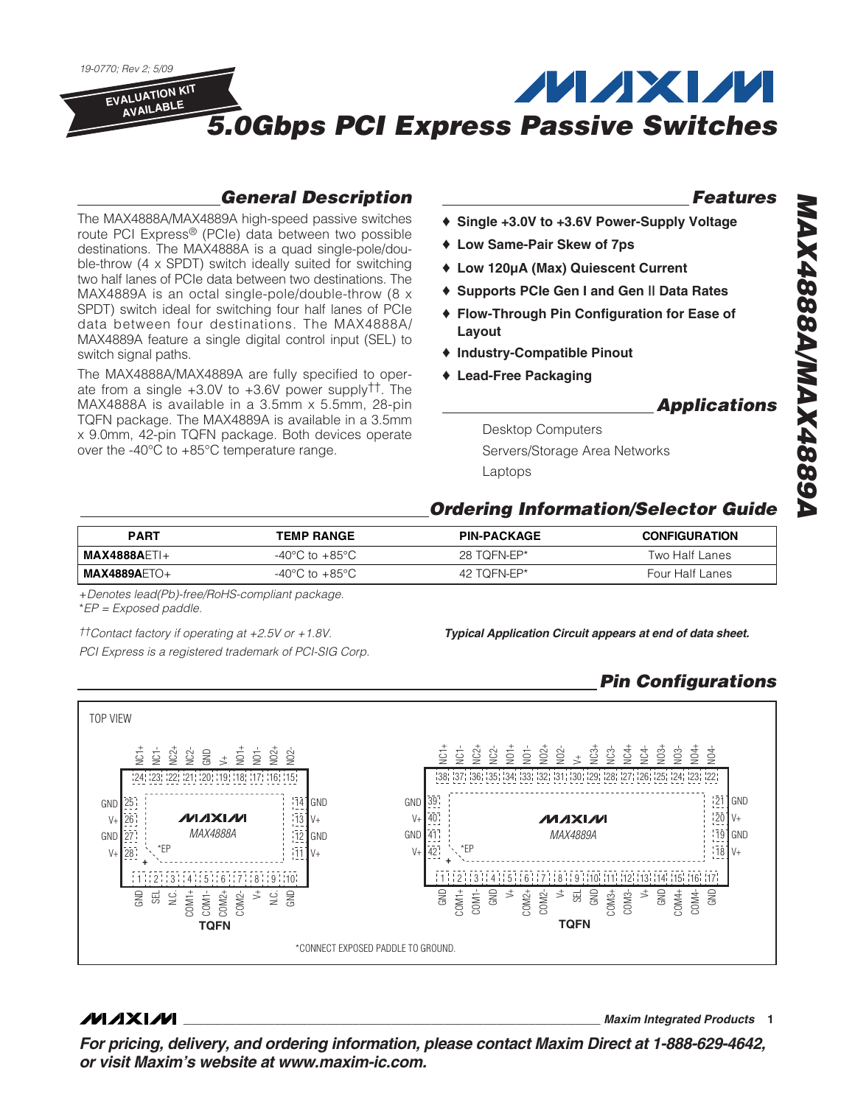

### **General Description**

The MAX4888A/MAX4889A high-speed passive switches route PCI Express® (PCIe) data between two possible destinations. The MAX4888A is a quad single-pole/double-throw (4 x SPDT) switch ideally suited for switching two half lanes of PCIe data between two destinations. The MAX4889A is an octal single-pole/double-throw (8 x SPDT) switch ideal for switching four half lanes of PCIe data between four destinations. The MAX4888A/ MAX4889A feature a single digital control input (SEL) to switch signal paths.

The MAX4888A/MAX4889A are fully specified to operate from a single  $+3.0V$  to  $+3.6V$  power supply<sup>††</sup>. The MAX4888A is available in a 3.5mm x 5.5mm, 28-pin TQFN package. The MAX4889A is available in a 3.5mm x 9.0mm, 42-pin TQFN package. Both devices operate over the -40°C to +85°C temperature range.

#### **Features**

- ♦ **Single +3.0V to +3.6V Power-Supply Voltage**
- ♦ **Low Same-Pair Skew of 7ps**
- ♦ **Low 120µA (Max) Quiescent Current**
- ♦ **Supports PCIe Gen I and Gen || Data Rates**
- ♦ **Flow-Through Pin Configuration for Ease of Layout**
- ♦ **Industry-Compatible Pinout**
- ♦ **Lead-Free Packaging**

#### **Applications**

Desktop Computers Servers/Storage Area Networks Laptops

#### **Ordering Information/Selector Guide**

| <b>PART</b>                          | <b>TEMP RANGE</b>                  | <b>PIN-PACKAGE</b> | <b>CONFIGURATION</b> |
|--------------------------------------|------------------------------------|--------------------|----------------------|
| $\mathsf{MAX4888A}$ $\mathsf{FTI} +$ | $-40^{\circ}$ C to $+85^{\circ}$ C | 28 TOFN-EP*        | Two Half Lanes       |
| $MAX4889A ETO+$                      | $-40^{\circ}$ C to $+85^{\circ}$ C | 42 TOFN-EP*        | Four Half Lanes      |

+Denotes lead(Pb)-free/RoHS-compliant package. \*EP = Exposed paddle.

PCI Express is a registered trademark of PCI-SIG Corp.

**Typical Application Circuit appears at end of data sheet.** ††Contact factory if operating at +2.5V or +1.8V.

### **Pin Configurations**



**MAXIM** 

**\_\_\_\_\_\_\_\_\_\_\_\_\_\_\_\_\_\_\_\_\_\_\_\_\_\_\_\_\_\_\_\_\_\_\_\_\_\_\_\_\_\_\_\_\_\_\_\_\_\_\_\_\_\_\_\_\_\_\_\_\_\_\_\_ Maxim Integrated Products 1**

**For pricing, delivery, and ordering information, please contact Maxim Direct at 1-888-629-4642, or visit Maxim's website at www.maxim-ic.com.**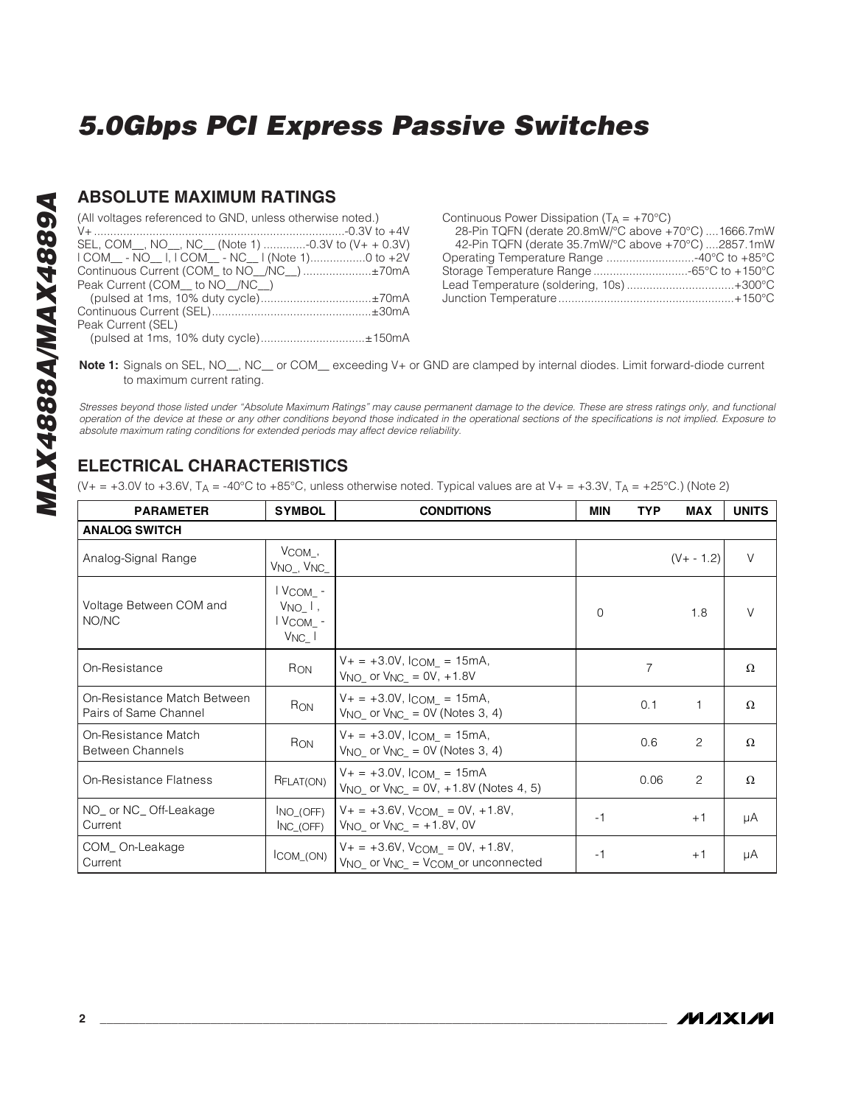#### **ABSOLUTE MAXIMUM RATINGS**

| (All voltages referenced to GND, unless otherwise noted.) |
|-----------------------------------------------------------|
|                                                           |
| SEL, COM_, NO_, NC_ (Note 1) -0.3V to (V+ + 0.3V)         |
| I COM__ - NO__ I, I COM__ - NC__ I (Note 1)0 to +2V       |
| Continuous Current (COM_ to NO_/NC_) ±70mA                |
| Peak Current (COM to NO /NC )                             |
| (pulsed at 1ms, 10% duty cycle)±70mA                      |
|                                                           |
| Peak Current (SEL)                                        |
| (pulsed at 1ms, 10% duty cycle)±150mA                     |

Continuous Power Dissipation  $(T_A = +70^{\circ}C)$ 28-Pin TQFN (derate 20.8mW/°C above +70°C) ....1666.7mW 42-Pin TQFN (derate 35.7mW/°C above +70°C) ....2857.1mW Operating Temperature Range ...........................-40°C to +85°C Storage Temperature Range .............................-65°C to +150°C Lead Temperature (soldering, 10s) .................................+300°C Junction Temperature......................................................+150°C

**Note 1:** Signals on SEL, NO , NC or COM exceeding V+ or GND are clamped by internal diodes. Limit forward-diode current to maximum current rating.

Stresses beyond those listed under "Absolute Maximum Ratings" may cause permanent damage to the device. These are stress ratings only, and functional operation of the device at these or any other conditions beyond those indicated in the operational sections of the specifications is not implied. Exposure to absolute maximum rating conditions for extended periods may affect device reliability.

### **ELECTRICAL CHARACTERISTICS**

 $(V_{+} = +3.0V$  to  $+3.6V$ ,  $T_A = -40^{\circ}$ C to  $+85^{\circ}$ C, unless otherwise noted. Typical values are at  $V_{+} = +3.3V$ ,  $T_A = +25^{\circ}$ C.) (Note 2)

| <b>PARAMETER</b>                                     | <b>SYMBOL</b>                                     | <b>CONDITIONS</b>                                                                                                  |          | <b>TYP</b> | <b>MAX</b>    | <b>UNITS</b> |  |
|------------------------------------------------------|---------------------------------------------------|--------------------------------------------------------------------------------------------------------------------|----------|------------|---------------|--------------|--|
| <b>ANALOG SWITCH</b>                                 |                                                   |                                                                                                                    |          |            |               |              |  |
| Analog-Signal Range                                  | $V_{COM}$ ,<br>V <sub>NO_,</sub> V <sub>NC_</sub> |                                                                                                                    |          |            | $(V + - 1.2)$ | $\vee$       |  |
| Voltage Between COM and<br>NO/NC                     | I VCOM_-<br>$V_{NO}$ ,<br>l Vcom -<br>$V_{NC}$    |                                                                                                                    | $\Omega$ |            | 1.8           | V            |  |
| On-Resistance                                        | R <sub>ON</sub>                                   | $V_+ = +3.0V$ , $l_{COM} = 15mA$ ,<br>$V_{NO}$ or $V_{NC}$ = 0V, +1.8V                                             |          | 7          |               | Ω            |  |
| On-Resistance Match Between<br>Pairs of Same Channel | RON                                               | $V_+ = +3.0V$ , $l_{COM} = 15mA$ ,<br>$V_{NO_-}$ or $V_{NC_-}$ = 0V (Notes 3, 4)                                   |          | 0.1        | 1             | Ω            |  |
| On-Resistance Match<br><b>Between Channels</b>       | R <sub>ON</sub>                                   | $V_+ = +3.0V$ , $l_{COM} = 15mA$ ,<br>$V_{NO}$ or $V_{NC}$ = 0V (Notes 3, 4)                                       |          | 0.6        | 2             | Ω            |  |
| On-Resistance Flatness                               | RFLAT(ON)                                         | $V_+ = +3.0V$ , $l_{COM} = 15mA$<br>$V_{NO}$ or $V_{NC} = 0V$ , +1.8V (Notes 4, 5)                                 |          | 0.06       | 2             | Ω            |  |
| NO_ or NC_Off-Leakage<br>Current                     | INO (OFF)<br>INC (OFF)                            | $V_+ = +3.6V$ , $V_{COM} = 0V$ , $+1.8V$ ,<br>$V_{NO}$ or $V_{NC}$ = +1.8V, 0V                                     | $-1$     |            | $+1$          | μA           |  |
| COM_On-Leakage<br>Current                            | ICOM_(ON)                                         | $V_+ = +3.6V$ , $V_{COM} = 0V$ , $+1.8V$ ,<br>V <sub>NO</sub> or V <sub>NC</sub> = V <sub>COM</sub> or unconnected | $-1$     |            | $+1$          | μA           |  |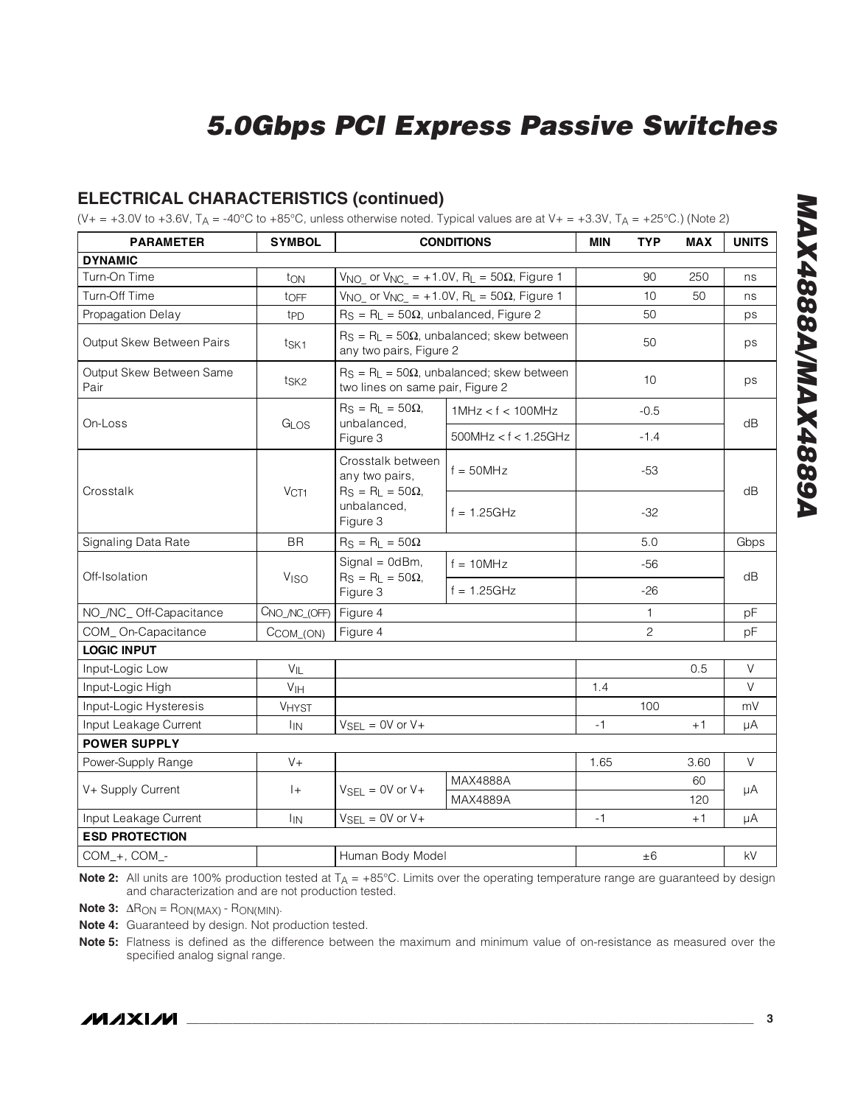#### **ELECTRICAL CHARACTERISTICS (continued)**

 $(V_+ = +3.0V$  to  $+3.6V$ ,  $T_A = -40^{\circ}$ C to  $+85^{\circ}$ C, unless otherwise noted. Typical values are at  $V_+ = +3.3V$ ,  $T_A = +25^{\circ}$ C.) (Note 2)

| <b>PARAMETER</b>                 | <b>SYMBOL</b>          | <b>CONDITIONS</b>                                                                          |                                                                           | <b>MIN</b> | <b>TYP</b>     | <b>MAX</b> | <b>UNITS</b> |
|----------------------------------|------------------------|--------------------------------------------------------------------------------------------|---------------------------------------------------------------------------|------------|----------------|------------|--------------|
| <b>DYNAMIC</b>                   |                        |                                                                                            |                                                                           |            |                |            |              |
| Turn-On Time                     | ton                    | $V_{NO_-}$ or $V_{NC_-}$ = +1.0V, R <sub>L</sub> = 50 $\Omega$ , Figure 1                  |                                                                           |            | 90             | 250        | ns           |
| Turn-Off Time                    | toFF                   |                                                                                            | $V_{NO_-}$ or $V_{NC_-}$ = +1.0V, R <sub>L</sub> = 50 $\Omega$ , Figure 1 |            | 10             | 50         | ns           |
| Propagation Delay                | t <sub>PD</sub>        | $R_S = R_L = 50\Omega$ , unbalanced, Figure 2                                              |                                                                           |            | 50             |            | ps           |
| Output Skew Between Pairs        | t <sub>SK1</sub>       | any two pairs, Figure 2                                                                    | $R_S = R_L = 50\Omega$ , unbalanced; skew between                         |            | 50             |            | ps           |
| Output Skew Between Same<br>Pair | tsk2                   | two lines on same pair, Figure 2                                                           | $R_S = R_L = 50\Omega$ , unbalanced; skew between                         |            | 10             |            | ps           |
| On-Loss                          |                        | $R_S = R_L = 50\Omega$ ,                                                                   | 1MHz < f < 100MHz                                                         |            | $-0.5$         |            | dB           |
|                                  | GLOS                   | unbalanced,<br>Figure 3                                                                    | 500MHz < f < 1.25GHz                                                      |            | $-1.4$         |            |              |
| Crosstalk                        | VCT1                   | Crosstalk between<br>any two pairs,<br>$R_S = R_L = 50\Omega$ ,<br>unbalanced,<br>Figure 3 | $f = 50MHz$                                                               |            | $-53$          |            | dB           |
|                                  |                        |                                                                                            | $f = 1.25$ GHz                                                            |            | $-32$          |            |              |
| Signaling Data Rate              | <b>BR</b>              | $R_S = R_L = 50\Omega$                                                                     |                                                                           |            | 5.0            |            | Gbps         |
| Off-Isolation                    | <b>V<sub>ISO</sub></b> | Signal = 0dBm,<br>$f = 10$ MHz<br>$R_S = R_L = 50\Omega,$<br>Figure 3                      |                                                                           |            | $-56$          |            |              |
|                                  |                        |                                                                                            | $f = 1.25GHz$                                                             |            | $-26$          |            | dB           |
| NO_/NC_Off-Capacitance           | CNO_/NC_(OFF)          | Figure 4                                                                                   |                                                                           |            | 1              |            | pF           |
| COM_On-Capacitance               | $CCOM_ (ON)$           | Figure 4                                                                                   |                                                                           |            | $\overline{c}$ |            | pF           |
| <b>LOGIC INPUT</b>               |                        |                                                                                            |                                                                           |            |                |            |              |
| Input-Logic Low                  | $V_{IL}$               |                                                                                            |                                                                           |            |                | 0.5        | V            |
| Input-Logic High                 | V <sub>IH</sub>        |                                                                                            |                                                                           | 1.4        |                |            | $\vee$       |
| Input-Logic Hysteresis           | <b>VHYST</b>           |                                                                                            |                                                                           |            | 100            |            | mV           |
| Input Leakage Current            | <b>I<sub>IN</sub></b>  | $V_{SEL} = 0V$ or $V +$                                                                    |                                                                           | $-1$       |                | $+1$       | μA           |
| <b>POWER SUPPLY</b>              |                        |                                                                                            |                                                                           |            |                |            |              |
| Power-Supply Range               | $V +$                  |                                                                                            |                                                                           | 1.65       |                | 3.60       | V            |
| V+ Supply Current                | $ +$                   | $V_{\text{SEI}} = 0V$ or $V_{\text{+}}$                                                    | MAX4888A                                                                  |            |                | 60         | μA           |
|                                  |                        | MAX4889A                                                                                   |                                                                           |            |                | 120        |              |
| Input Leakage Current            | <b>I<sub>IN</sub></b>  | $V_{SEL} = 0V$ or $V +$                                                                    |                                                                           | $-1$       |                | $+1$       | μA           |
| <b>ESD PROTECTION</b>            |                        |                                                                                            |                                                                           |            |                |            |              |
| COM_+, COM_-                     |                        | Human Body Model                                                                           |                                                                           |            | $\pm 6$        |            | kV           |

**Note 2:** All units are 100% production tested at T<sub>A</sub> = +85°C. Limits over the operating temperature range are guaranteed by design and characterization and are not production tested.

**Note 3:**  $\Delta$ R<sub>ON</sub> = R<sub>ON(MAX)</sub> - R<sub>ON(MIN)</sub>.

**Note 4:** Guaranteed by design. Not production tested.

**Note 5:** Flatness is defined as the difference between the maximum and minimum value of on-resistance as measured over the specified analog signal range.

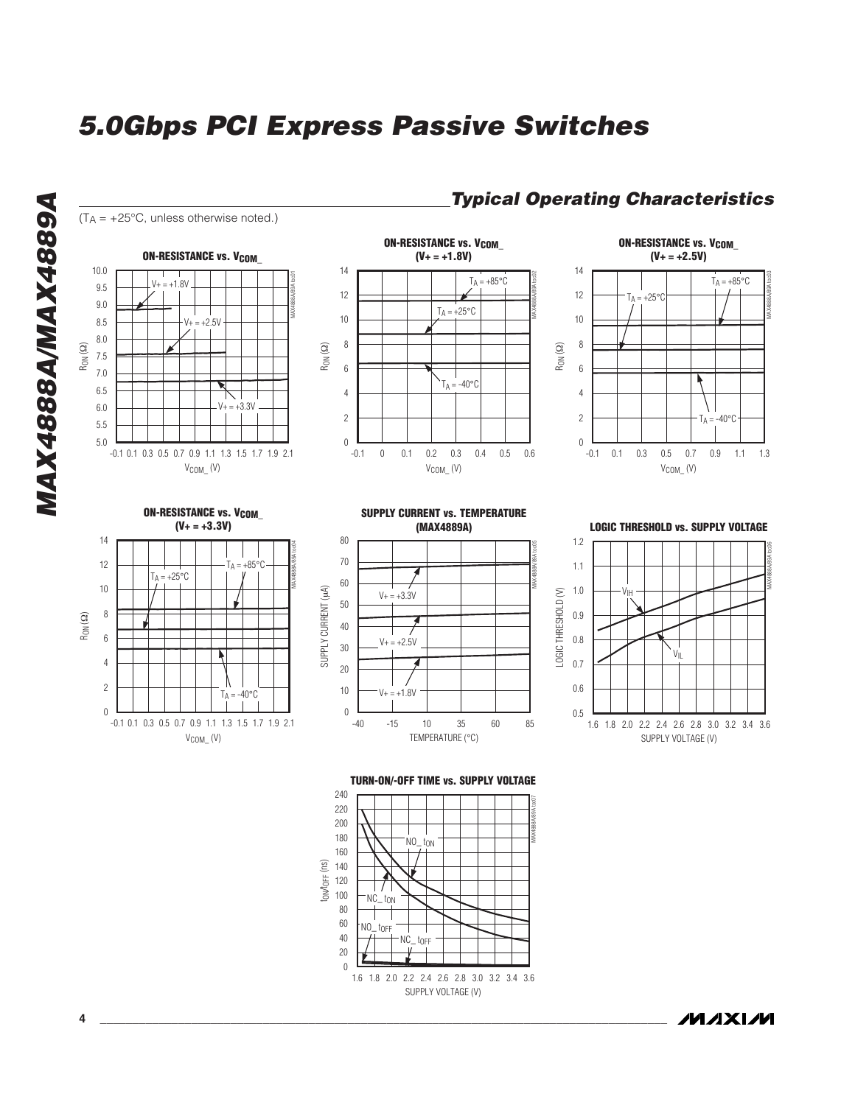

SUPPLY VOLTAGE (V)

1.6 1.8 2.0 2.2 2.4 2.6 2.8 3.0 3.2 3.4 3.6

NC\_ tOFF

NO\_ tOFF

**MAXM** 

**MAX4888A/MAX4889A**

MAX4888A/MAX4889A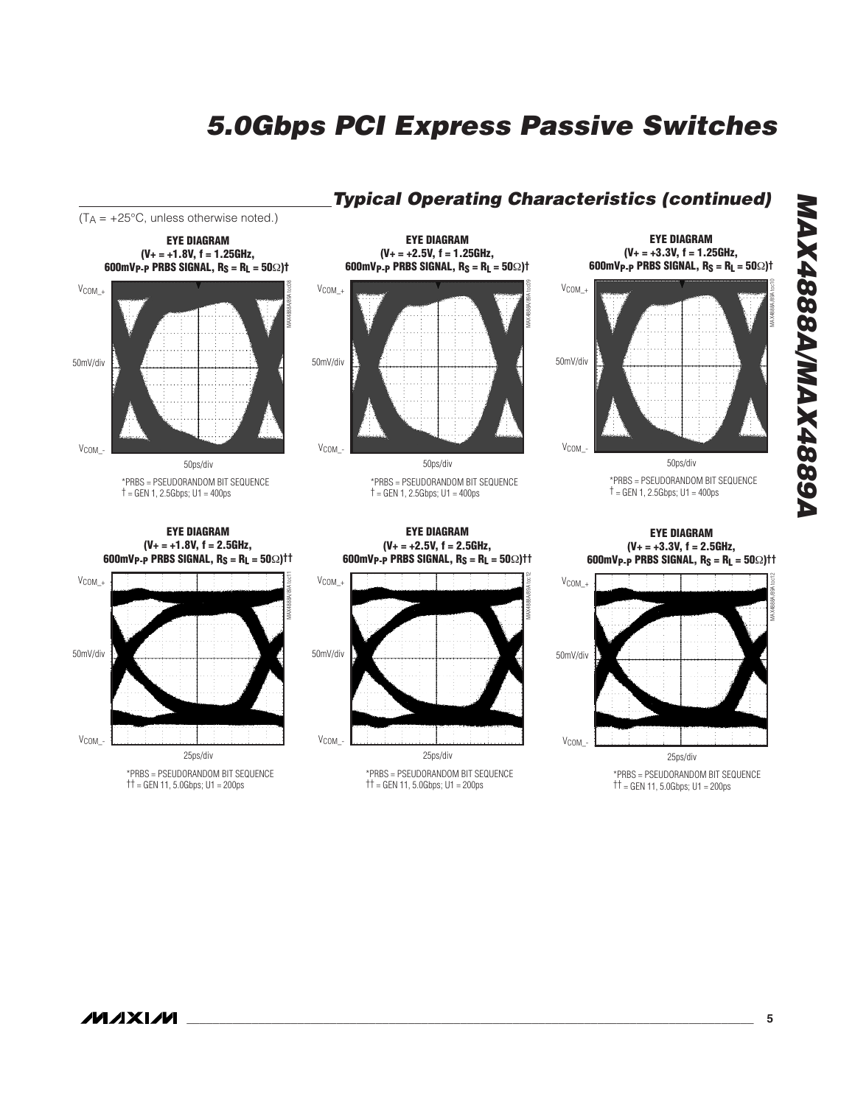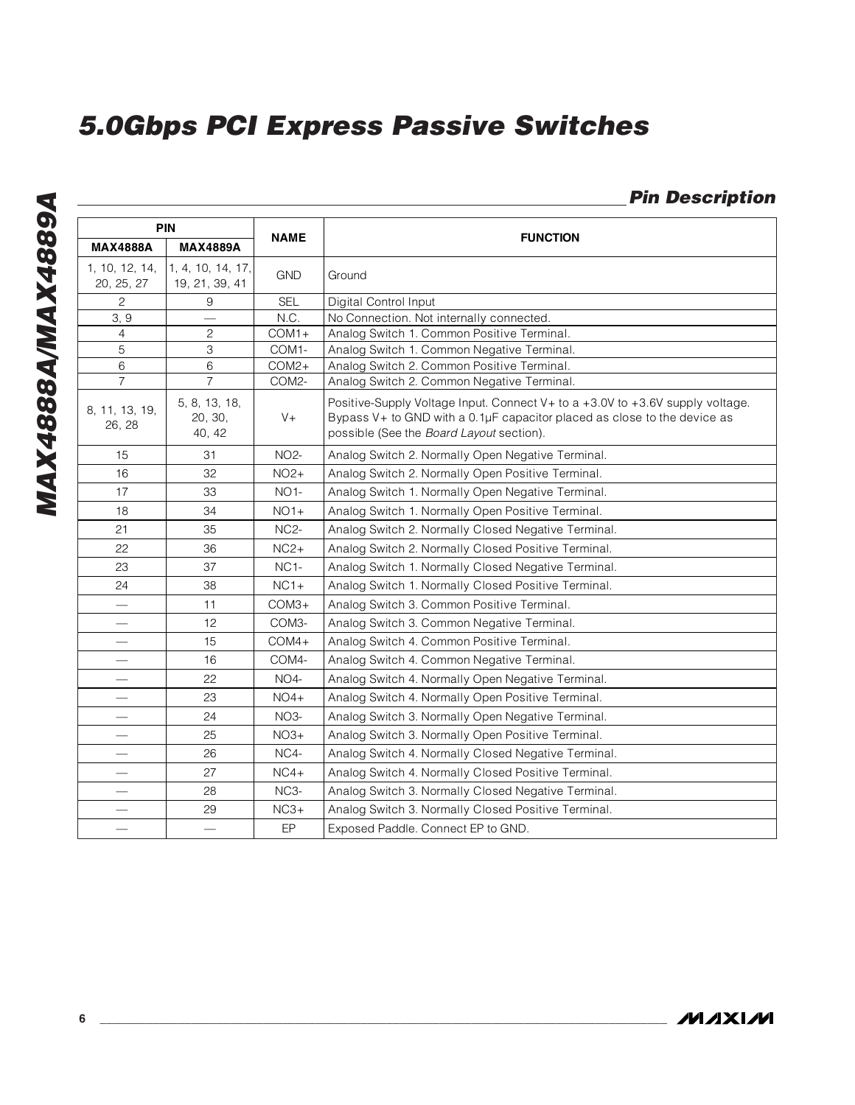### **Pin Description**

| <b>PIN</b>                   |                                     | <b>NAME</b>       |                                                                                                                                                                                                                |  |  |
|------------------------------|-------------------------------------|-------------------|----------------------------------------------------------------------------------------------------------------------------------------------------------------------------------------------------------------|--|--|
| <b>MAX4888A</b>              | <b>MAX4889A</b>                     |                   | <b>FUNCTION</b>                                                                                                                                                                                                |  |  |
| 1, 10, 12, 14,<br>20, 25, 27 | 1, 4, 10, 14, 17,<br>19, 21, 39, 41 | <b>GND</b>        | Ground                                                                                                                                                                                                         |  |  |
| $\mathbf{2}$                 | 9                                   | <b>SEL</b>        | Digital Control Input                                                                                                                                                                                          |  |  |
| 3, 9                         |                                     | N.C.              | No Connection. Not internally connected.                                                                                                                                                                       |  |  |
| 4                            | $\mathbf{2}$                        | $COM1+$           | Analog Switch 1. Common Positive Terminal.                                                                                                                                                                     |  |  |
| 5                            | 3                                   | COM1-             | Analog Switch 1. Common Negative Terminal.                                                                                                                                                                     |  |  |
| 6                            | 6                                   | $COM2+$           | Analog Switch 2. Common Positive Terminal.                                                                                                                                                                     |  |  |
| $\overline{7}$               | $\overline{7}$                      | COM2-             | Analog Switch 2. Common Negative Terminal.                                                                                                                                                                     |  |  |
| 8, 11, 13, 19,<br>26, 28     | 5, 8, 13, 18,<br>20, 30,<br>40, 42  | $V +$             | Positive-Supply Voltage Input. Connect V + to a +3.0V to +3.6V supply voltage.<br>Bypass $V+$ to GND with a 0.1 $\mu$ F capacitor placed as close to the device as<br>possible (See the Board Layout section). |  |  |
| 15                           | 31                                  | <b>NO2-</b>       | Analog Switch 2. Normally Open Negative Terminal.                                                                                                                                                              |  |  |
| 16                           | 32                                  | $NO2+$            | Analog Switch 2. Normally Open Positive Terminal.                                                                                                                                                              |  |  |
| 17                           | 33                                  | <b>NO1-</b>       | Analog Switch 1. Normally Open Negative Terminal.                                                                                                                                                              |  |  |
| 18                           | 34                                  | $NO1+$            | Analog Switch 1. Normally Open Positive Terminal.                                                                                                                                                              |  |  |
| 21                           | 35                                  | NC <sub>2</sub> - | Analog Switch 2. Normally Closed Negative Terminal.                                                                                                                                                            |  |  |
| 22                           | 36                                  | $NC2+$            | Analog Switch 2. Normally Closed Positive Terminal.                                                                                                                                                            |  |  |
| 23                           | 37                                  | NC <sub>1</sub> - | Analog Switch 1. Normally Closed Negative Terminal.                                                                                                                                                            |  |  |
| 24                           | 38                                  | $NC1+$            | Analog Switch 1. Normally Closed Positive Terminal.                                                                                                                                                            |  |  |
|                              | 11                                  | $COM3+$           | Analog Switch 3. Common Positive Terminal.                                                                                                                                                                     |  |  |
|                              | 12                                  | COM3-             | Analog Switch 3. Common Negative Terminal.                                                                                                                                                                     |  |  |
|                              | 15                                  | $COM4+$           | Analog Switch 4. Common Positive Terminal.                                                                                                                                                                     |  |  |
|                              | 16                                  | COM4-             | Analog Switch 4. Common Negative Terminal.                                                                                                                                                                     |  |  |
|                              | 22                                  | NO <sub>4</sub> - | Analog Switch 4. Normally Open Negative Terminal.                                                                                                                                                              |  |  |
| $\overline{\phantom{0}}$     | 23                                  | $NO4+$            | Analog Switch 4. Normally Open Positive Terminal.                                                                                                                                                              |  |  |
| $\overline{\phantom{0}}$     | 24                                  | $NO3-$            | Analog Switch 3. Normally Open Negative Terminal.                                                                                                                                                              |  |  |
| $\overline{\phantom{0}}$     | 25                                  | $NO3+$            | Analog Switch 3. Normally Open Positive Terminal.                                                                                                                                                              |  |  |
|                              | 26                                  | NC4-              | Analog Switch 4. Normally Closed Negative Terminal.                                                                                                                                                            |  |  |
|                              | 27                                  | $NC4+$            | Analog Switch 4. Normally Closed Positive Terminal.                                                                                                                                                            |  |  |
|                              | 28                                  | $NC3-$            | Analog Switch 3. Normally Closed Negative Terminal.                                                                                                                                                            |  |  |
| $\overline{\phantom{0}}$     | 29                                  | $NC3+$            | Analog Switch 3. Normally Closed Positive Terminal.                                                                                                                                                            |  |  |
|                              | $\overline{\phantom{0}}$            | EP                | Exposed Paddle. Connect EP to GND.                                                                                                                                                                             |  |  |

**MAXIM**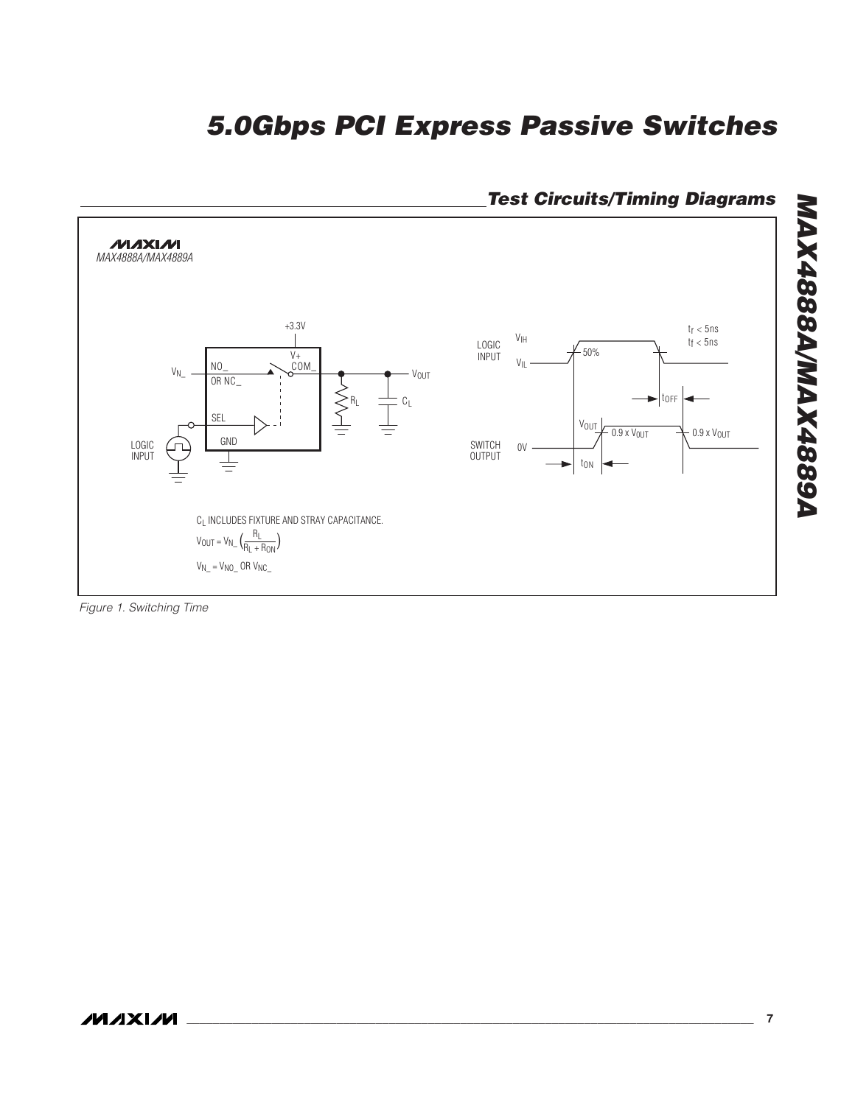

### **Test Circuits/Timing Diagrams**

Figure 1. Switching Time

**ASS84XAMASS84XAM MAX4888A/MAX4889A**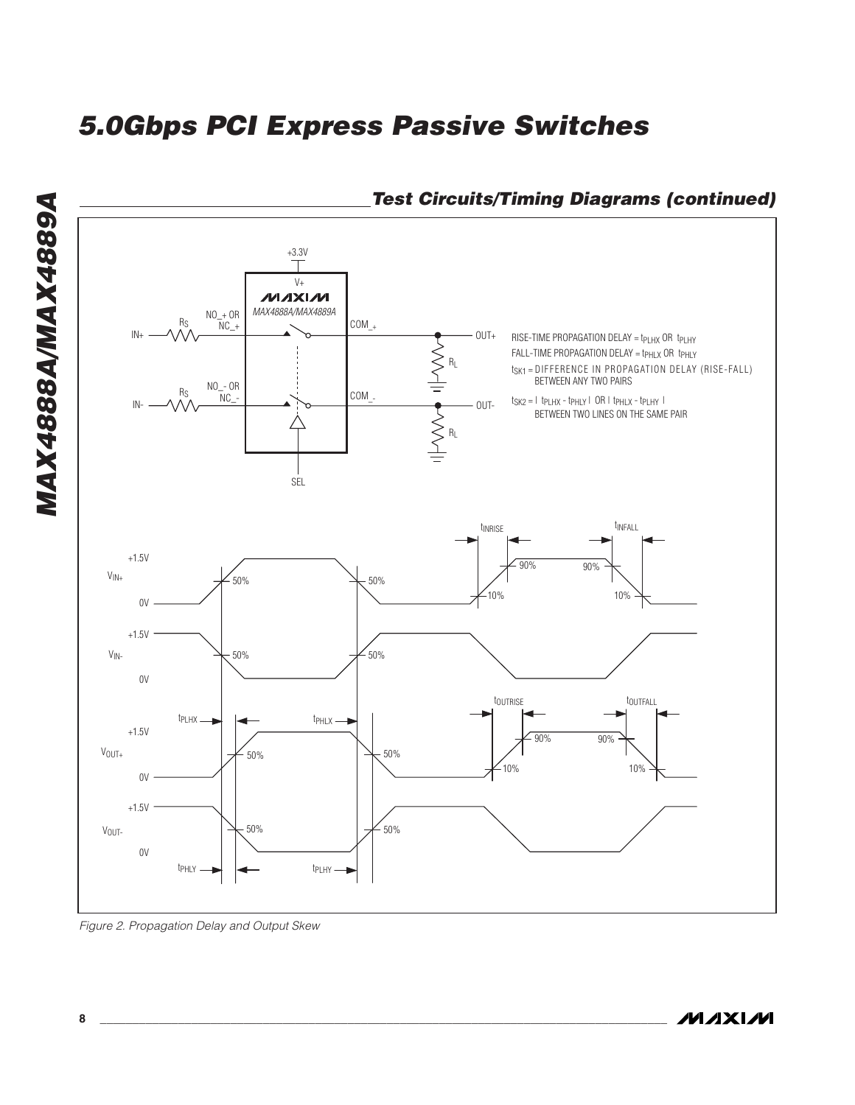

### **Test Circuits/Timing Diagrams (continued)**

Figure 2. Propagation Delay and Output Skew

**MAX4888A/MAX4889A**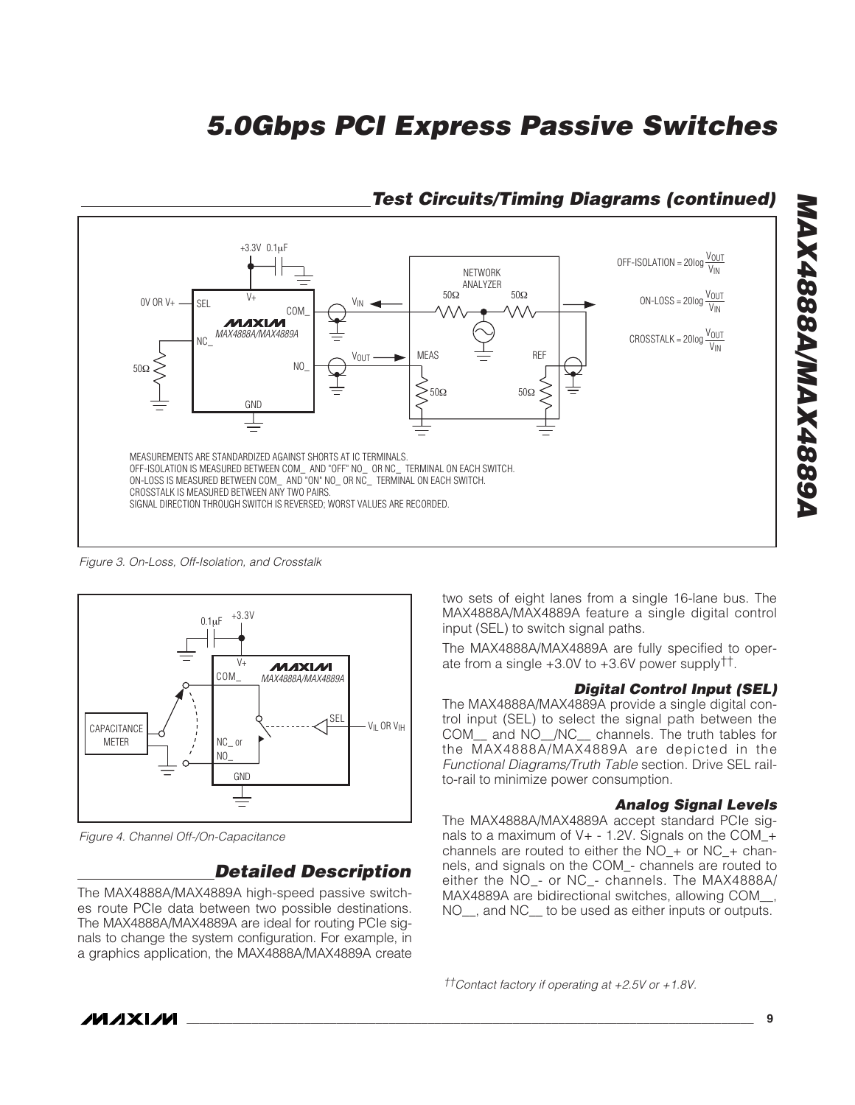

### **Test Circuits/Timing Diagrams (continued)**

Figure 3. On-Loss, Off-Isolation, and Crosstalk



Figure 4. Channel Off-/On-Capacitance

### **Detailed Description**

The MAX4888A/MAX4889A high-speed passive switches route PCIe data between two possible destinations. The MAX4888A/MAX4889A are ideal for routing PCIe signals to change the system configuration. For example, in a graphics application, the MAX4888A/MAX4889A create two sets of eight lanes from a single 16-lane bus. The MAX4888A/MAX4889A feature a single digital control input (SEL) to switch signal paths.

The MAX4888A/MAX4889A are fully specified to operate from a single +3.0V to +3.6V power supply††.

#### **Digital Control Input (SEL)**

The MAX4888A/MAX4889A provide a single digital control input (SEL) to select the signal path between the COM\_\_ and NO\_\_/NC\_\_ channels. The truth tables for the MAX4888A/MAX4889A are depicted in the Functional Diagrams/Truth Table section. Drive SEL railto-rail to minimize power consumption.

#### **Analog Signal Levels**

The MAX4888A/MAX4889A accept standard PCIe signals to a maximum of V+ - 1.2V. Signals on the COM\_+ channels are routed to either the NO  $+$  or NC  $+$  channels, and signals on the COM\_- channels are routed to either the NO\_- or NC\_- channels. The MAX4888A/ MAX4889A are bidirectional switches, allowing COM\_\_, NO\_\_, and NC\_\_ to be used as either inputs or outputs.

††Contact factory if operating at +2.5V or +1.8V.

**MAXM**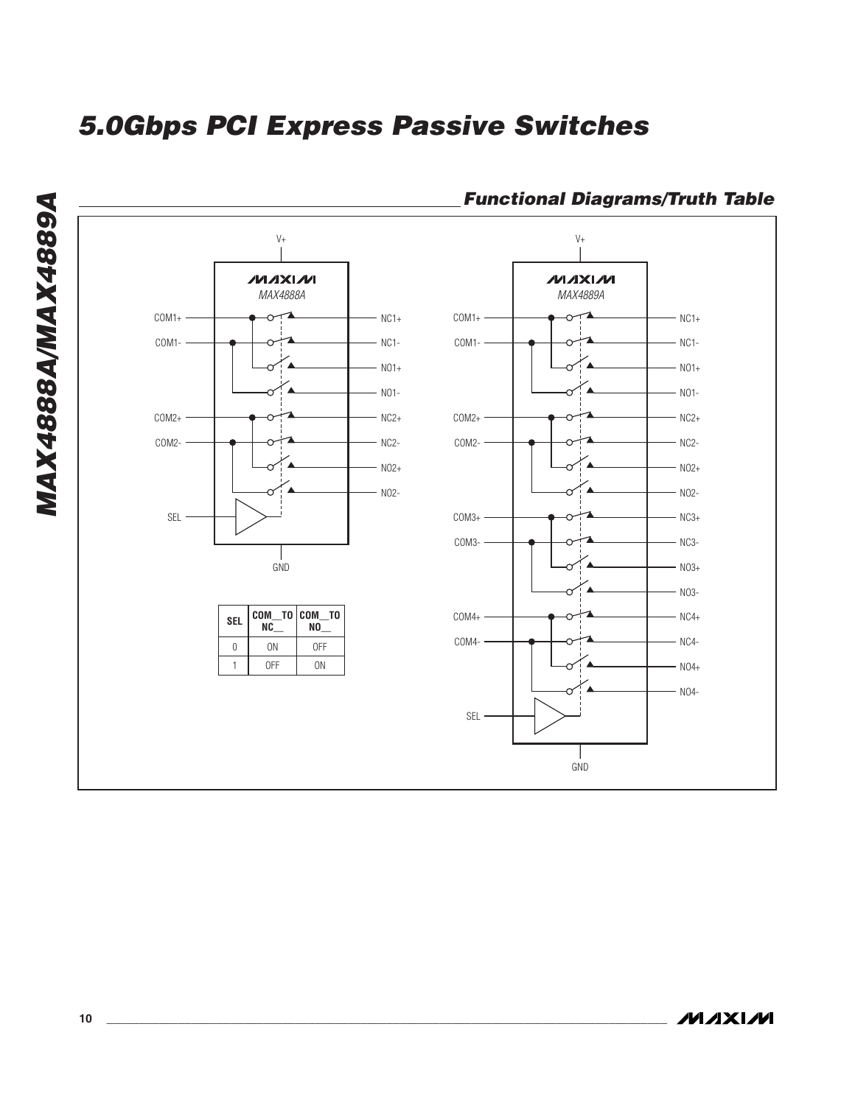

### **Functional Diagrams/Truth Table**

**MAXIM**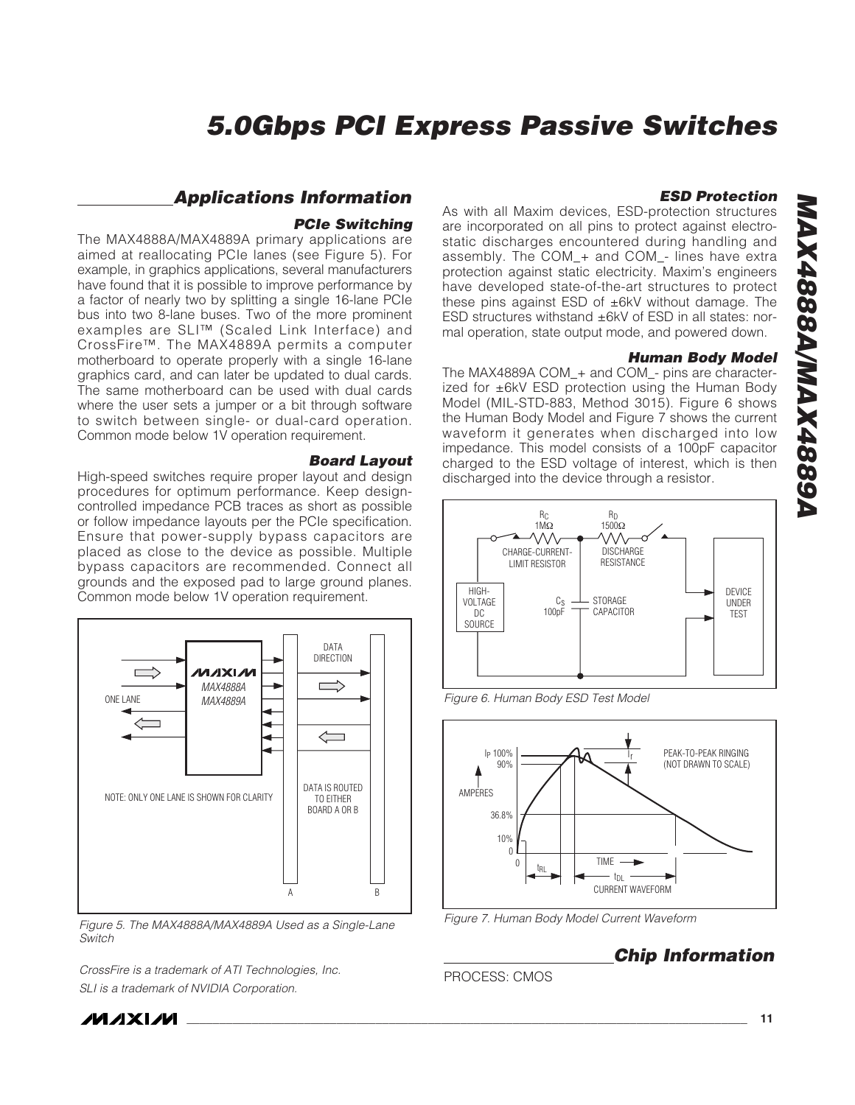#### **Applications Information**

#### **PCIe Switching**

The MAX4888A/MAX4889A primary applications are aimed at reallocating PCIe lanes (see Figure 5). For example, in graphics applications, several manufacturers have found that it is possible to improve performance by a factor of nearly two by splitting a single 16-lane PCIe bus into two 8-lane buses. Two of the more prominent examples are SLI™ (Scaled Link Interface) and CrossFire™. The MAX4889A permits a computer motherboard to operate properly with a single 16-lane graphics card, and can later be updated to dual cards. The same motherboard can be used with dual cards where the user sets a jumper or a bit through software to switch between single- or dual-card operation. Common mode below 1V operation requirement.

#### **Board Layout**

High-speed switches require proper layout and design procedures for optimum performance. Keep designcontrolled impedance PCB traces as short as possible or follow impedance layouts per the PCIe specification. Ensure that power-supply bypass capacitors are placed as close to the device as possible. Multiple bypass capacitors are recommended. Connect all grounds and the exposed pad to large ground planes. Common mode below 1V operation requirement.



Figure 5. The MAX4888A/MAX4889A Used as a Single-Lane Switch

CrossFire is a trademark of ATI Technologies, Inc. SLI is a trademark of NVIDIA Corporation.

**ESD Protection**

As with all Maxim devices, ESD-protection structures are incorporated on all pins to protect against electrostatic discharges encountered during handling and assembly. The COM\_+ and COM\_- lines have extra protection against static electricity. Maxim's engineers have developed state-of-the-art structures to protect these pins against ESD of ±6kV without damage. The ESD structures withstand ±6kV of ESD in all states: normal operation, state output mode, and powered down.

#### **Human Body Model**

The MAX4889A COM\_+ and COM\_- pins are characterized for ±6kV ESD protection using the Human Body Model (MIL-STD-883, Method 3015). Figure 6 shows the Human Body Model and Figure 7 shows the current waveform it generates when discharged into low impedance. This model consists of a 100pF capacitor charged to the ESD voltage of interest, which is then discharged into the device through a resistor.



Figure 6. Human Body ESD Test Model



Figure 7. Human Body Model Current Waveform

### **Chip Information**

#### PROCESS: CMOS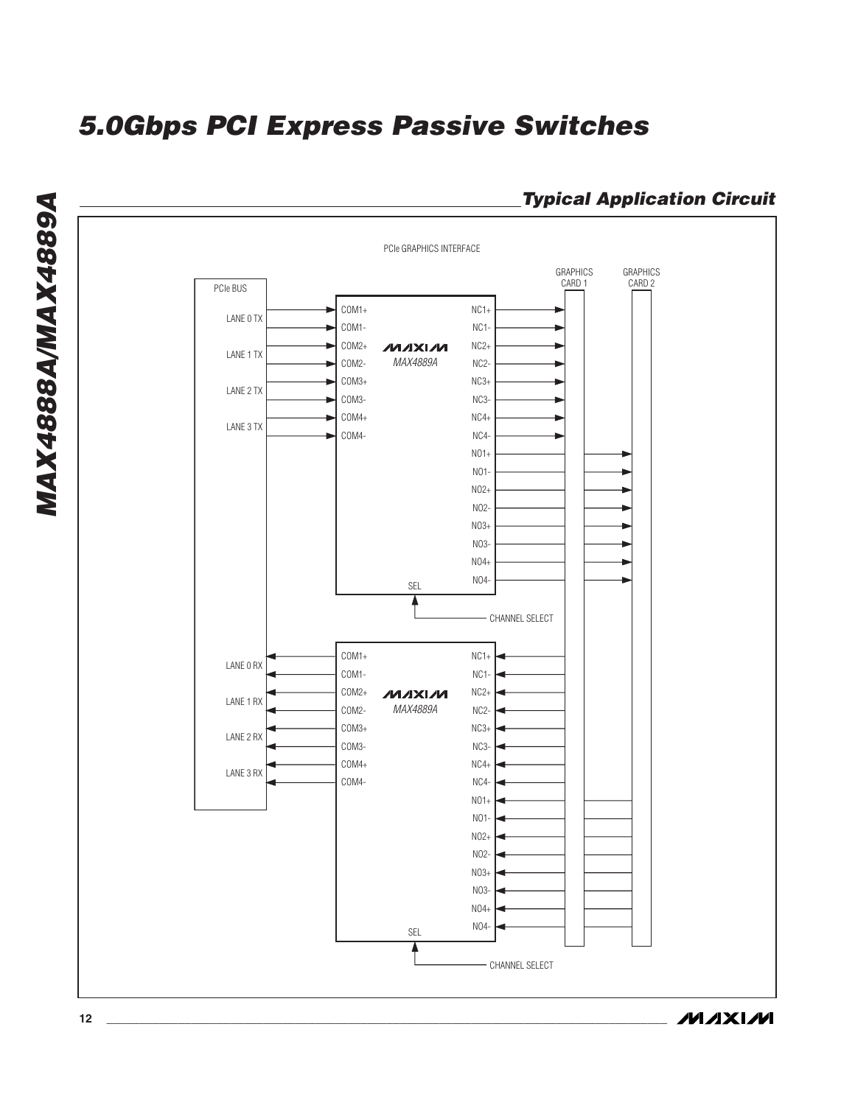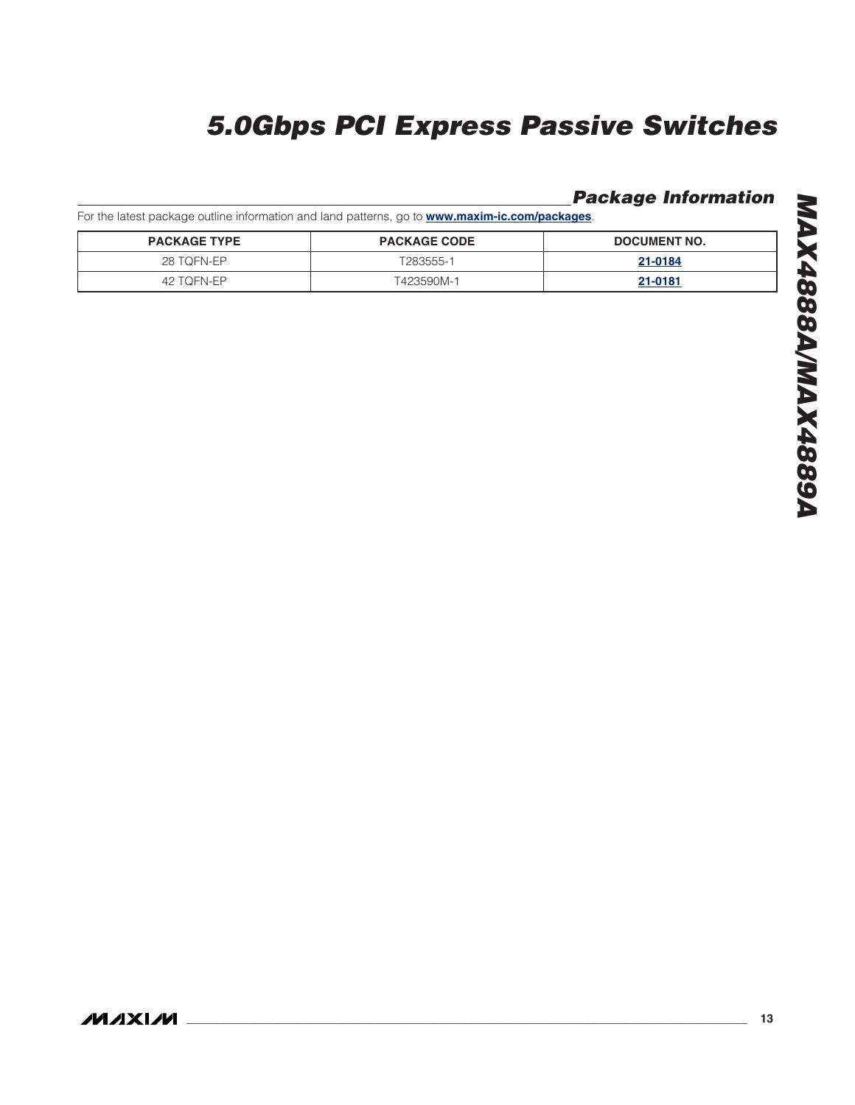### **Package Information**

For the latest package outline information and land patterns, go to **www.maxim-ic.com/packages**.

| <b>PACKAGE TYPE</b> | <b>PACKAGE CODE</b> | DOCUMENT NO. |
|---------------------|---------------------|--------------|
| 28 TOFN-EP          | T283555-1           | 21-0184      |
| 42 TOFN-EP          | T423590M-1          | 21-0181      |